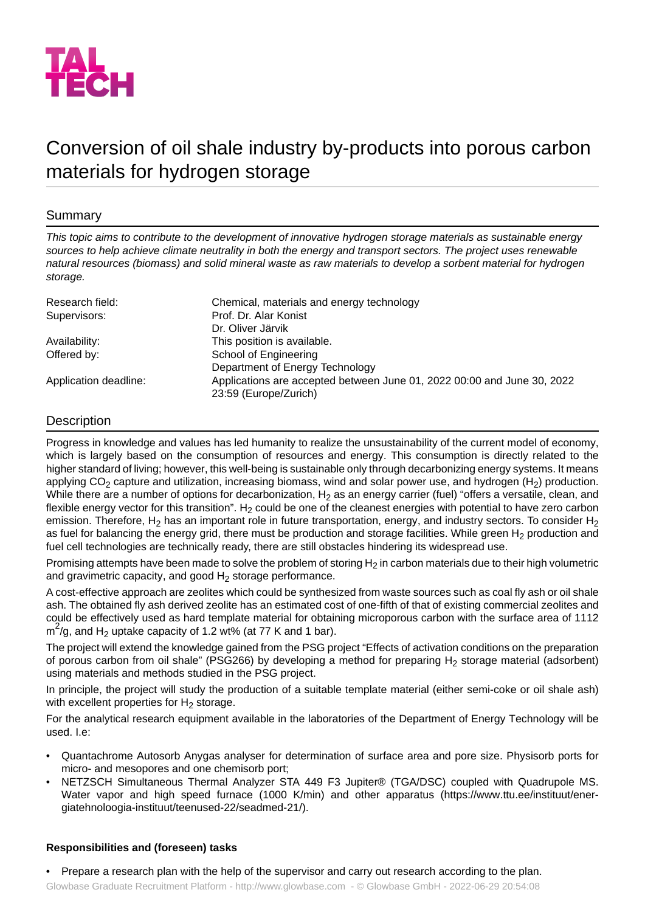

# Conversion of oil shale industry by-products into porous carbon materials for hydrogen storage

## Summary

*This topic aims to contribute to the development of innovative hydrogen storage materials as sustainable energy sources to help achieve climate neutrality in both the energy and transport sectors. The project uses renewable natural resources (biomass) and solid mineral waste as raw materials to develop a sorbent material for hydrogen storage.*

| Research field:       | Chemical, materials and energy technology                                                        |
|-----------------------|--------------------------------------------------------------------------------------------------|
| Supervisors:          | Prof. Dr. Alar Konist                                                                            |
|                       | Dr. Oliver Järvik                                                                                |
| Availability:         | This position is available.                                                                      |
| Offered by:           | School of Engineering                                                                            |
|                       | Department of Energy Technology                                                                  |
| Application deadline: | Applications are accepted between June 01, 2022 00:00 and June 30, 2022<br>23:59 (Europe/Zurich) |

## **Description**

Progress in knowledge and values has led humanity to realize the unsustainability of the current model of economy, which is largely based on the consumption of resources and energy. This consumption is directly related to the higher standard of living; however, this well-being is sustainable only through decarbonizing energy systems. It means applying  $CO<sub>2</sub>$  capture and utilization, increasing biomass, wind and solar power use, and hydrogen (H<sub>2</sub>) production. While there are a number of options for decarbonization,  $H_2$  as an energy carrier (fuel) "offers a versatile, clean, and flexible energy vector for this transition". H<sub>2</sub> could be one of the cleanest energies with potential to have zero carbon emission. Therefore,  $H_2$  has an important role in future transportation, energy, and industry sectors. To consider  $H_2$ as fuel for balancing the energy grid, there must be production and storage facilities. While green  $H_2$  production and fuel cell technologies are technically ready, there are still obstacles hindering its widespread use.

Promising attempts have been made to solve the problem of storing  $H_2$  in carbon materials due to their high volumetric and gravimetric capacity, and good  $H<sub>2</sub>$  storage performance.

A cost-effective approach are zeolites which could be synthesized from waste sources such as coal fly ash or oil shale ash. The obtained fly ash derived zeolite has an estimated cost of one-fifth of that of existing commercial zeolites and could be effectively used as hard template material for obtaining microporous carbon with the surface area of 1112  $\text{m}^2$ /g, and H<sub>2</sub> uptake capacity of 1.2 wt% (at 77 K and 1 bar).

The project will extend the knowledge gained from the PSG project "Effects of activation conditions on the preparation of porous carbon from oil shale" (PSG266) by developing a method for preparing H<sub>2</sub> storage material (adsorbent) using materials and methods studied in the PSG project.

In principle, the project will study the production of a suitable template material (either semi-coke or oil shale ash) with excellent properties for  $H_2$  storage.

For the analytical research equipment available in the laboratories of the Department of Energy Technology will be used. I.e:

- Quantachrome Autosorb Anygas analyser for determination of surface area and pore size. Physisorb ports for micro- and mesopores and one chemisorb port;
- NETZSCH Simultaneous Thermal Analyzer STA 449 F3 Jupiter® (TGA/DSC) coupled with Quadrupole MS. Water vapor and high speed furnace (1000 K/min) and other apparatus (https://www.ttu.ee/instituut/energiatehnoloogia-instituut/teenused-22/seadmed-21/).

## **Responsibilities and (foreseen) tasks**

• Prepare a research plan with the help of the supervisor and carry out research according to the plan.